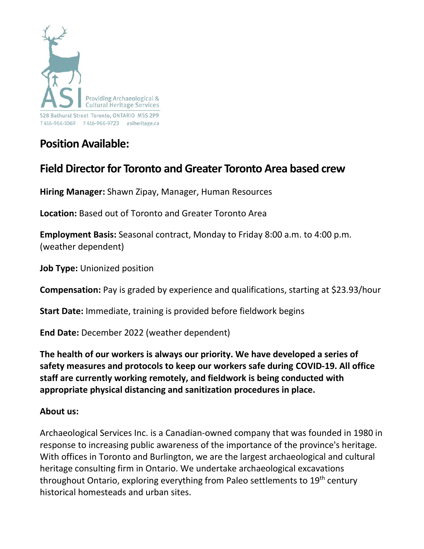

# **Position Available:**

# **Field Director for Toronto and Greater Toronto Area based crew**

**Hiring Manager:** Shawn Zipay, Manager, Human Resources

**Location:** Based out of Toronto and Greater Toronto Area

**Employment Basis:** Seasonal contract, Monday to Friday 8:00 a.m. to 4:00 p.m. (weather dependent)

**Job Type:** Unionized position

**Compensation:** Pay is graded by experience and qualifications, starting at \$23.93/hour

**Start Date:** Immediate, training is provided before fieldwork begins

**End Date:** December 2022 (weather dependent)

**The health of our workers is always our priority. We have developed a series of safety measures and protocols to keep our workers safe during COVID-19. All office staff are currently working remotely, and fieldwork is being conducted with appropriate physical distancing and sanitization procedures in place.**

#### **About us:**

Archaeological Services Inc. is a Canadian-owned company that was founded in 1980 in response to increasing public awareness of the importance of the province's heritage. With offices in Toronto and Burlington, we are the largest archaeological and cultural heritage consulting firm in Ontario. We undertake archaeological excavations throughout Ontario, exploring everything from Paleo settlements to 19<sup>th</sup> century historical homesteads and urban sites.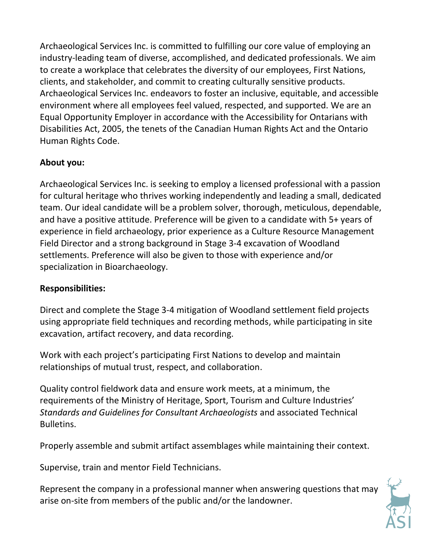Archaeological Services Inc. is committed to fulfilling our core value of employing an industry-leading team of diverse, accomplished, and dedicated professionals. We aim to create a workplace that celebrates the diversity of our employees, First Nations, clients, and stakeholder, and commit to creating culturally sensitive products. Archaeological Services Inc. endeavors to foster an inclusive, equitable, and accessible environment where all employees feel valued, respected, and supported. We are an Equal Opportunity Employer in accordance with the Accessibility for Ontarians with Disabilities Act, 2005, the tenets of the Canadian Human Rights Act and the Ontario Human Rights Code.

### **About you:**

Archaeological Services Inc. is seeking to employ a licensed professional with a passion for cultural heritage who thrives working independently and leading a small, dedicated team. Our ideal candidate will be a problem solver, thorough, meticulous, dependable, and have a positive attitude. Preference will be given to a candidate with 5+ years of experience in field archaeology, prior experience as a Culture Resource Management Field Director and a strong background in Stage 3-4 excavation of Woodland settlements. Preference will also be given to those with experience and/or specialization in Bioarchaeology.

### **Responsibilities:**

Direct and complete the Stage 3-4 mitigation of Woodland settlement field projects using appropriate field techniques and recording methods, while participating in site excavation, artifact recovery, and data recording.

Work with each project's participating First Nations to develop and maintain relationships of mutual trust, respect, and collaboration.

Quality control fieldwork data and ensure work meets, at a minimum, the requirements of the Ministry of Heritage, Sport, Tourism and Culture Industries' *Standards and Guidelines for Consultant Archaeologists* and associated Technical Bulletins.

Properly assemble and submit artifact assemblages while maintaining their context.

Supervise, train and mentor Field Technicians.

Represent the company in a professional manner when answering questions that may arise on-site from members of the public and/or the landowner.